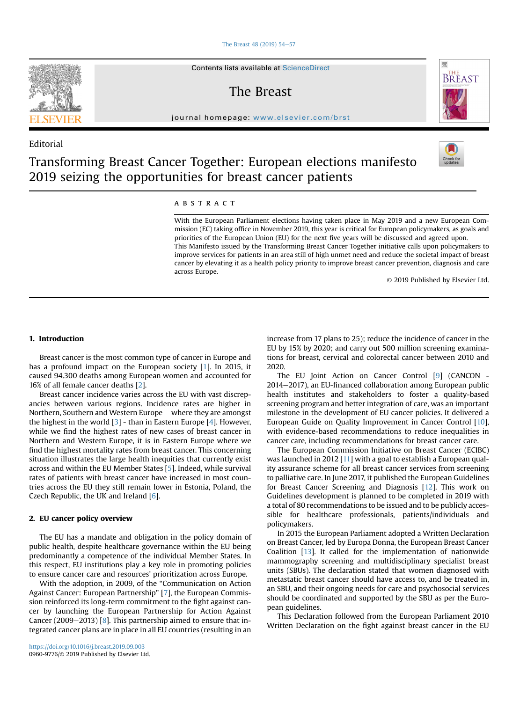#### The Breast  $48$  (2019) 54-[57](https://doi.org/10.1016/j.breast.2019.09.003)

Contents lists available at ScienceDirect

## The Breast

journal homepage: [www.elsevier.com/brst](http://www.elsevier.com/brst)

## Editorial



骤

BREAST

# Transforming Breast Cancer Together: European elections manifesto 2019 seizing the opportunities for breast cancer patients

### ABSTRACT

across Europe.

With the European Parliament elections having taken place in May 2019 and a new European Commission (EC) taking office in November 2019, this year is critical for European policymakers, as goals and priorities of the European Union (EU) for the next five years will be discussed and agreed upon. This Manifesto issued by the Transforming Breast Cancer Together initiative calls upon policymakers to improve services for patients in an area still of high unmet need and reduce the societal impact of breast cancer by elevating it as a health policy priority to improve breast cancer prevention, diagnosis and care

© 2019 Published by Elsevier Ltd.

#### 1. Introduction

Breast cancer is the most common type of cancer in Europe and has a profound impact on the European society [\[1](#page-3-0)]. In 2015, it caused 94.300 deaths among European women and accounted for 16% of all female cancer deaths [\[2](#page-3-0)].

Breast cancer incidence varies across the EU with vast discrepancies between various regions. Incidence rates are higher in Northern, Southern and Western Europe – where they are amongst the highest in the world  $[3]$  $[3]$  - than in Eastern Europe  $[4]$  $[4]$ . However, while we find the highest rates of new cases of breast cancer in Northern and Western Europe, it is in Eastern Europe where we find the highest mortality rates from breast cancer. This concerning situation illustrates the large health inequities that currently exist across and within the EU Member States [\[5](#page-3-0)]. Indeed, while survival rates of patients with breast cancer have increased in most countries across the EU they still remain lower in Estonia, Poland, the Czech Republic, the UK and Ireland  $[6]$  $[6]$  $[6]$ .

#### 2. EU cancer policy overview

The EU has a mandate and obligation in the policy domain of public health, despite healthcare governance within the EU being predominantly a competence of the individual Member States. In this respect, EU institutions play a key role in promoting policies to ensure cancer care and resources' prioritization across Europe.

With the adoption, in 2009, of the "Communication on Action Against Cancer: European Partnership" [[7\]](#page-3-0), the European Commission reinforced its long-term commitment to the fight against cancer by launching the European Partnership for Action Against Cancer (2009-2013) [[8](#page-3-0)]. This partnership aimed to ensure that integrated cancer plans are in place in all EU countries (resulting in an increase from 17 plans to 25); reduce the incidence of cancer in the EU by 15% by 2020; and carry out 500 million screening examinations for breast, cervical and colorectal cancer between 2010 and 2020.

The EU Joint Action on Cancer Control [[9](#page-3-0)] (CANCON - 2014–2017), an EU-financed collaboration among European public health institutes and stakeholders to foster a quality-based screening program and better integration of care, was an important milestone in the development of EU cancer policies. It delivered a European Guide on Quality Improvement in Cancer Control [\[10](#page-3-0)], with evidence-based recommendations to reduce inequalities in cancer care, including recommendations for breast cancer care.

The European Commission Initiative on Breast Cancer (ECIBC) was launched in 2012 [[11](#page-3-0)] with a goal to establish a European quality assurance scheme for all breast cancer services from screening to palliative care. In June 2017, it published the European Guidelines for Breast Cancer Screening and Diagnosis [\[12](#page-3-0)]. This work on Guidelines development is planned to be completed in 2019 with a total of 80 recommendations to be issued and to be publicly accessible for healthcare professionals, patients/individuals and policymakers.

In 2015 the European Parliament adopted a Written Declaration on Breast Cancer, led by Europa Donna, the European Breast Cancer Coalition [\[13](#page-3-0)]. It called for the implementation of nationwide mammography screening and multidisciplinary specialist breast units (SBUs). The declaration stated that women diagnosed with metastatic breast cancer should have access to, and be treated in, an SBU, and their ongoing needs for care and psychosocial services should be coordinated and supported by the SBU as per the European guidelines.

This Declaration followed from the European Parliament 2010 Written Declaration on the fight against breast cancer in the EU

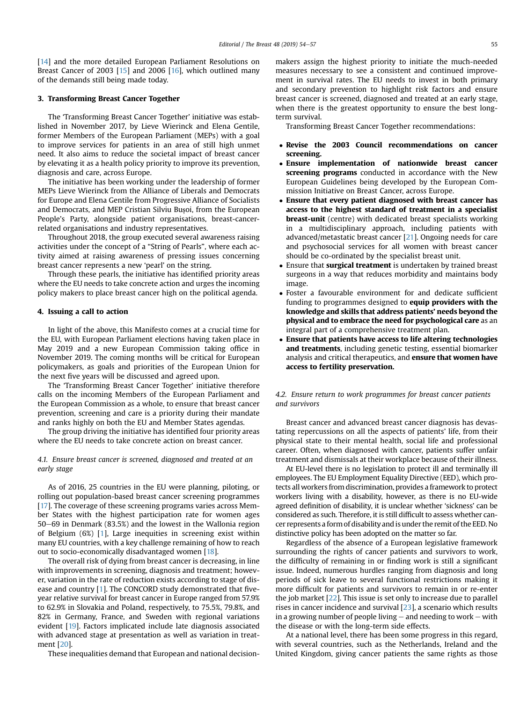[\[14](#page-3-0)] and the more detailed European Parliament Resolutions on Breast Cancer of 2003 [[15\]](#page-3-0) and 2006 [\[16](#page-3-0)], which outlined many of the demands still being made today.

#### 3. Transforming Breast Cancer Together

The 'Transforming Breast Cancer Together' initiative was established in November 2017, by Lieve Wierinck and Elena Gentile, former Members of the European Parliament (MEPs) with a goal to improve services for patients in an area of still high unmet need. It also aims to reduce the societal impact of breast cancer by elevating it as a health policy priority to improve its prevention, diagnosis and care, across Europe.

The initiative has been working under the leadership of former MEPs Lieve Wierinck from the Alliance of Liberals and Democrats for Europe and Elena Gentile from Progressive Alliance of Socialists and Democrats, and MEP Cristian Silviu Bușoi, from the European People's Party, alongside patient organisations, breast-cancerrelated organisations and industry representatives.

Throughout 2018, the group executed several awareness raising activities under the concept of a "String of Pearls", where each activity aimed at raising awareness of pressing issues concerning breast cancer represents a new 'pearl' on the string.

Through these pearls, the initiative has identified priority areas where the EU needs to take concrete action and urges the incoming policy makers to place breast cancer high on the political agenda.

#### 4. Issuing a call to action

In light of the above, this Manifesto comes at a crucial time for the EU, with European Parliament elections having taken place in May 2019 and a new European Commission taking office in November 2019. The coming months will be critical for European policymakers, as goals and priorities of the European Union for the next five years will be discussed and agreed upon.

The 'Transforming Breast Cancer Together' initiative therefore calls on the incoming Members of the European Parliament and the European Commission as a whole, to ensure that breast cancer prevention, screening and care is a priority during their mandate and ranks highly on both the EU and Member States agendas.

The group driving the initiative has identified four priority areas where the EU needs to take concrete action on breast cancer.

#### 4.1. Ensure breast cancer is screened, diagnosed and treated at an early stage

As of 2016, 25 countries in the EU were planning, piloting, or rolling out population-based breast cancer screening programmes [\[17](#page-3-0)]. The coverage of these screening programs varies across Member States with the highest participation rate for women ages 50–69 in Denmark (83.5%) and the lowest in the Wallonia region of Belgium (6%) [\[1\]](#page-3-0), Large inequities in screening exist within many EU countries, with a key challenge remaining of how to reach out to socio-economically disadvantaged women [[18](#page-3-0)].

The overall risk of dying from breast cancer is decreasing, in line with improvements in screening, diagnosis and treatment; however, variation in the rate of reduction exists according to stage of disease and country [\[1\]](#page-3-0). The CONCORD study demonstrated that fiveyear relative survival for breast cancer in Europe ranged from 57.9% to 62.9% in Slovakia and Poland, respectively, to 75.5%, 79.8%, and 82% in Germany, France, and Sweden with regional variations evident [\[19](#page-3-0)]. Factors implicated include late diagnosis associated with advanced stage at presentation as well as variation in treatment [[20](#page-3-0)].

These inequalities demand that European and national decision-

makers assign the highest priority to initiate the much-needed measures necessary to see a consistent and continued improvement in survival rates. The EU needs to invest in both primary and secondary prevention to highlight risk factors and ensure breast cancer is screened, diagnosed and treated at an early stage, when there is the greatest opportunity to ensure the best longterm survival.

Transforming Breast Cancer Together recommendations:

- Revise the 2003 Council recommendations on cancer screening.
- Ensure implementation of nationwide breast cancer screening programs conducted in accordance with the New European Guidelines being developed by the European Commission Initiative on Breast Cancer, across Europe.
- Ensure that every patient diagnosed with breast cancer has access to the highest standard of treatment in a specialist **breast-unit** (centre) with dedicated breast specialists working in a multidisciplinary approach, including patients with advanced/metastatic breast cancer [\[21](#page-3-0)]. Ongoing needs for care and psychosocial services for all women with breast cancer should be co-ordinated by the specialist breast unit.
- Ensure that **surgical treatment** is undertaken by trained breast surgeons in a way that reduces morbidity and maintains body image.
- Foster a favourable environment for and dedicate sufficient funding to programmes designed to equip providers with the knowledge and skills that address patients' needs beyond the physical and to embrace the need for psychological care as an integral part of a comprehensive treatment plan.
- Ensure that patients have access to life altering technologies and treatments, including genetic testing, essential biomarker analysis and critical therapeutics, and ensure that women have access to fertility preservation.

#### 4.2. Ensure return to work programmes for breast cancer patients and survivors

Breast cancer and advanced breast cancer diagnosis has devastating repercussions on all the aspects of patients' life, from their physical state to their mental health, social life and professional career. Often, when diagnosed with cancer, patients suffer unfair treatment and dismissals at their workplace because of their illness.

At EU-level there is no legislation to protect ill and terminally ill employees. The EU Employment Equality Directive (EED), which protects all workers from discrimination, provides a framework to protect workers living with a disability, however, as there is no EU-wide agreed definition of disability, it is unclear whether 'sickness' can be considered as such. Therefore, it is still difficult to assess whether cancer represents a form of disability and is under the remit of the EED. No distinctive policy has been adopted on the matter so far.

Regardless of the absence of a European legislative framework surrounding the rights of cancer patients and survivors to work, the difficulty of remaining in or finding work is still a significant issue. Indeed, numerous hurdles ranging from diagnosis and long periods of sick leave to several functional restrictions making it more difficult for patients and survivors to remain in or re-enter the job market  $[22]$  $[22]$  $[22]$ . This issue is set only to increase due to parallel rises in cancer incidence and survival [[23](#page-3-0)], a scenario which results in a growing number of people living  $-$  and needing to work  $-$  with the disease or with the long-term side effects.

At a national level, there has been some progress in this regard, with several countries, such as the Netherlands, Ireland and the United Kingdom, giving cancer patients the same rights as those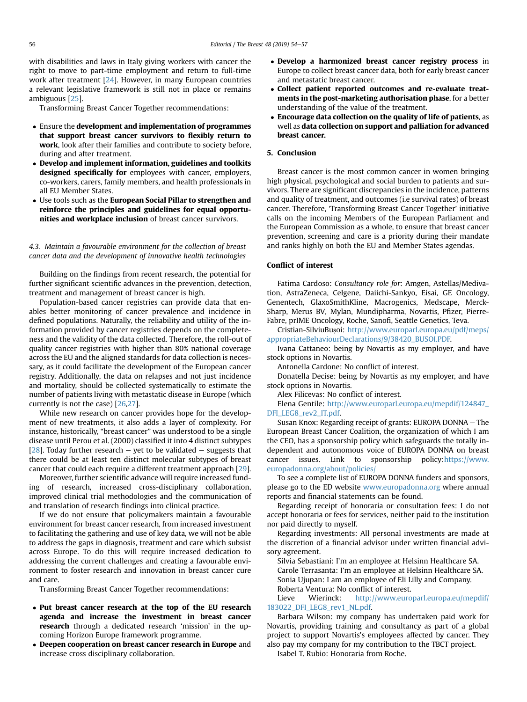with disabilities and laws in Italy giving workers with cancer the right to move to part-time employment and return to full-time work after treatment [[24\]](#page-3-0). However, in many European countries a relevant legislative framework is still not in place or remains ambiguous [[25](#page-3-0)].

Transforming Breast Cancer Together recommendations:

- Ensure the development and implementation of programmes that support breast cancer survivors to flexibly return to work, look after their families and contribute to society before, during and after treatment.
- Develop and implement information, guidelines and toolkits designed specifically for employees with cancer, employers, co-workers, carers, family members, and health professionals in all EU Member States.
- Use tools such as the European Social Pillar to strengthen and reinforce the principles and guidelines for equal opportunities and workplace inclusion of breast cancer survivors.

4.3. Maintain a favourable environment for the collection of breast cancer data and the development of innovative health technologies

Building on the findings from recent research, the potential for further significant scientific advances in the prevention, detection, treatment and management of breast cancer is high.

Population-based cancer registries can provide data that enables better monitoring of cancer prevalence and incidence in defined populations. Naturally, the reliability and utility of the information provided by cancer registries depends on the completeness and the validity of the data collected. Therefore, the roll-out of quality cancer registries with higher than 80% national coverage across the EU and the aligned standards for data collection is necessary, as it could facilitate the development of the European cancer registry. Additionally, the data on relapses and not just incidence and mortality, should be collected systematically to estimate the number of patients living with metastatic disease in Europe (which currently is not the case) [[26,27](#page-3-0)].

While new research on cancer provides hope for the development of new treatments, it also adds a layer of complexity. For instance, historically, "breast cancer" was understood to be a single disease until Perou et al. (2000) classified it into 4 distinct subtypes [ $28$ ]. Today further research – yet to be validated – suggests that there could be at least ten distinct molecular subtypes of breast cancer that could each require a different treatment approach [[29](#page-3-0)].

Moreover, further scientific advance will require increased funding of research, increased cross-disciplinary collaboration, improved clinical trial methodologies and the communication of and translation of research findings into clinical practice.

If we do not ensure that policymakers maintain a favourable environment for breast cancer research, from increased investment to facilitating the gathering and use of key data, we will not be able to address the gaps in diagnosis, treatment and care which subsist across Europe. To do this will require increased dedication to addressing the current challenges and creating a favourable environment to foster research and innovation in breast cancer cure and care.

Transforming Breast Cancer Together recommendations:

- Put breast cancer research at the top of the EU research agenda and increase the investment in breast cancer research through a dedicated research 'mission' in the upcoming Horizon Europe framework programme.
- Deepen cooperation on breast cancer research in Europe and increase cross disciplinary collaboration.
- Develop a harmonized breast cancer registry process in Europe to collect breast cancer data, both for early breast cancer and metastatic breast cancer.
- Collect patient reported outcomes and re-evaluate treatments in the post-marketing authorisation phase, for a better understanding of the value of the treatment.
- Encourage data collection on the quality of life of patients, as well as data collection on support and palliation for advanced breast cancer.

#### 5. Conclusion

Breast cancer is the most common cancer in women bringing high physical, psychological and social burden to patients and survivors. There are significant discrepancies in the incidence, patterns and quality of treatment, and outcomes (i.e survival rates) of breast cancer. Therefore, 'Transforming Breast Cancer Together' initiative calls on the incoming Members of the European Parliament and the European Commission as a whole, to ensure that breast cancer prevention, screening and care is a priority during their mandate and ranks highly on both the EU and Member States agendas.

#### Conflict of interest

Fatima Cardoso: Consultancy role for: Amgen, Astellas/Medivation, AstraZeneca, Celgene, Daiichi-Sankyo, Eisai, GE Oncology, Genentech, GlaxoSmithKline, Macrogenics, Medscape, Merck-Sharp, Merus BV, Mylan, Mundipharma, Novartis, Pfizer, Pierre-Fabre, prIME Oncology, Roche, Sanofi, Seattle Genetics, Teva.

Cristian-SilviuBușoi: [http://www.europarl.europa.eu/pdf/meps/](http://www.europarl.europa.eu/pdf/meps/appropriateBehaviourDeclarations/9/38420_BUSOI.PDF) [appropriateBehaviourDeclarations/9/38420\\_BUSOI.PDF.](http://www.europarl.europa.eu/pdf/meps/appropriateBehaviourDeclarations/9/38420_BUSOI.PDF)

Ivana Cattaneo: being by Novartis as my employer, and have stock options in Novartis.

Antonella Cardone: No conflict of interest.

Donatella Decise: being by Novartis as my employer, and have stock options in Novartis.

Alex Filicevas: No conflict of interest.

Elena Gentile: [http://www.europarl.europa.eu/mepdif/124847\\_](http://www.europarl.europa.eu/mepdif/124847_DFI_LEG8_rev2_IT.pdf) [DFI\\_LEG8\\_rev2\\_IT.pdf.](http://www.europarl.europa.eu/mepdif/124847_DFI_LEG8_rev2_IT.pdf)

Susan Knox: Regarding receipt of grants: EUROPA DONNA - The European Breast Cancer Coalition, the organization of which I am the CEO, has a sponsorship policy which safeguards the totally independent and autonomous voice of EUROPA DONNA on breast cancer issues. Link to sponsorship policy:[https://www.](https://www.europadonna.org/about/policies/) [europadonna.org/about/policies/](https://www.europadonna.org/about/policies/)

To see a complete list of EUROPA DONNA funders and sponsors, please go to the ED website [www.europadonna.org](http://www.europadonna.org) where annual reports and financial statements can be found.

Regarding receipt of honoraria or consultation fees: I do not accept honoraria or fees for services, neither paid to the institution nor paid directly to myself.

Regarding investments: All personal investments are made at the discretion of a financial advisor under written financial advisory agreement.

Silvia Sebastiani: I'm an employee at Helsinn Healthcare SA. Carole Terrasanta: I'm an employee at Helsinn Healthcare SA. Sonia Ujupan: I am an employee of Eli Lilly and Company. Roberta Ventura: No conflict of interest.

Lieve Wierinck: [http://www.europarl.europa.eu/mepdif/](http://www.europarl.europa.eu/mepdif/183022_DFI_LEG8_rev1_NL.pdf) [183022\\_DFI\\_LEG8\\_rev1\\_NL.pdf](http://www.europarl.europa.eu/mepdif/183022_DFI_LEG8_rev1_NL.pdf).

Barbara Wilson: my company has undertaken paid work for Novartis, providing training and consultancy as part of a global project to support Novartis's employees affected by cancer. They also pay my company for my contribution to the TBCT project.

Isabel T. Rubio: Honoraria from Roche.